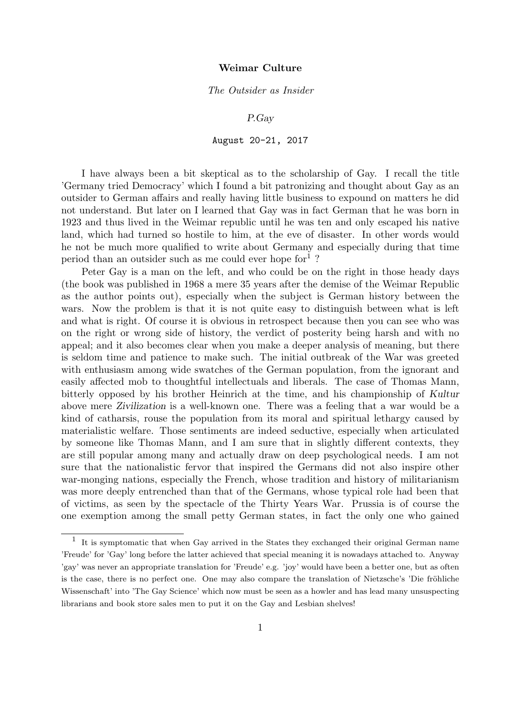## The Outsider as Insider

P.Gay

## August 20-21, 2017

I have always been a bit skeptical as to the scholarship of Gay. I recall the title 'Germany tried Democracy' which I found a bit patronizing and thought about Gay as an outsider to German affairs and really having little business to expound on matters he did not understand. But later on I learned that Gay was in fact German that he was born in 1923 and thus lived in the Weimar republic until he was ten and only escaped his native land, which had turned so hostile to him, at the eve of disaster. In other words would he not be much more qualified to write about Germany and especially during that time period than an outsider such as me could ever hope for<sup>1</sup>?

Peter Gay is a man on the left, and who could be on the right in those heady days (the book was published in 1968 a mere 35 years after the demise of the Weimar Republic as the author points out), especially when the subject is German history between the wars. Now the problem is that it is not quite easy to distinguish between what is left and what is right. Of course it is obvious in retrospect because then you can see who was on the right or wrong side of history, the verdict of posterity being harsh and with no appeal; and it also becomes clear when you make a deeper analysis of meaning, but there is seldom time and patience to make such. The initial outbreak of the War was greeted with enthusiasm among wide swatches of the German population, from the ignorant and easily affected mob to thoughtful intellectuals and liberals. The case of Thomas Mann, bitterly opposed by his brother Heinrich at the time, and his championship of Kultur above mere Zivilization is a well-known one. There was a feeling that a war would be a kind of catharsis, rouse the population from its moral and spiritual lethargy caused by materialistic welfare. Those sentiments are indeed seductive, especially when articulated by someone like Thomas Mann, and I am sure that in slightly different contexts, they are still popular among many and actually draw on deep psychological needs. I am not sure that the nationalistic fervor that inspired the Germans did not also inspire other war-monging nations, especially the French, whose tradition and history of militarianism was more deeply entrenched than that of the Germans, whose typical role had been that of victims, as seen by the spectacle of the Thirty Years War. Prussia is of course the one exemption among the small petty German states, in fact the only one who gained

<sup>&</sup>lt;sup>1</sup> It is symptomatic that when Gay arrived in the States they exchanged their original German name 'Freude' for 'Gay' long before the latter achieved that special meaning it is nowadays attached to. Anyway 'gay' was never an appropriate translation for 'Freude' e.g. 'joy' would have been a better one, but as often is the case, there is no perfect one. One may also compare the translation of Nietzsche's 'Die fröhliche Wissenschaft' into 'The Gay Science' which now must be seen as a howler and has lead many unsuspecting librarians and book store sales men to put it on the Gay and Lesbian shelves!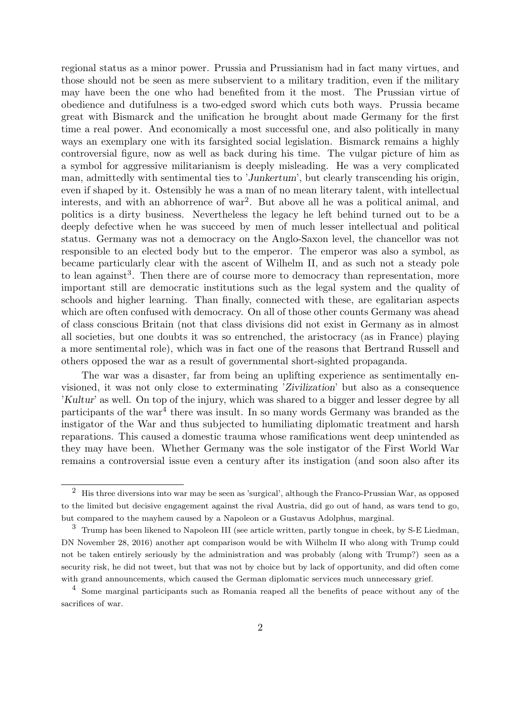regional status as a minor power. Prussia and Prussianism had in fact many virtues, and those should not be seen as mere subservient to a military tradition, even if the military may have been the one who had benefited from it the most. The Prussian virtue of obedience and dutifulness is a two-edged sword which cuts both ways. Prussia became great with Bismarck and the unification he brought about made Germany for the first time a real power. And economically a most successful one, and also politically in many ways an exemplary one with its farsighted social legislation. Bismarck remains a highly controversial figure, now as well as back during his time. The vulgar picture of him as a symbol for aggressive militarianism is deeply misleading. He was a very complicated man, admittedly with sentimental ties to 'Junkertum', but clearly transcending his origin, even if shaped by it. Ostensibly he was a man of no mean literary talent, with intellectual interests, and with an abhorrence of war<sup>2</sup> . But above all he was a political animal, and politics is a dirty business. Nevertheless the legacy he left behind turned out to be a deeply defective when he was succeed by men of much lesser intellectual and political status. Germany was not a democracy on the Anglo-Saxon level, the chancellor was not responsible to an elected body but to the emperor. The emperor was also a symbol, as became particularly clear with the ascent of Wilhelm II, and as such not a steady pole to lean against<sup>3</sup>. Then there are of course more to democracy than representation, more important still are democratic institutions such as the legal system and the quality of schools and higher learning. Than finally, connected with these, are egalitarian aspects which are often confused with democracy. On all of those other counts Germany was ahead of class conscious Britain (not that class divisions did not exist in Germany as in almost all societies, but one doubts it was so entrenched, the aristocracy (as in France) playing a more sentimental role), which was in fact one of the reasons that Bertrand Russell and others opposed the war as a result of governmental short-sighted propaganda.

The war was a disaster, far from being an uplifting experience as sentimentally envisioned, it was not only close to exterminating 'Zivilization' but also as a consequence 'Kultur' as well. On top of the injury, which was shared to a bigger and lesser degree by all participants of the war<sup>4</sup> there was insult. In so many words Germany was branded as the instigator of the War and thus subjected to humiliating diplomatic treatment and harsh reparations. This caused a domestic trauma whose ramifications went deep unintended as they may have been. Whether Germany was the sole instigator of the First World War remains a controversial issue even a century after its instigation (and soon also after its

<sup>2</sup> His three diversions into war may be seen as 'surgical', although the Franco-Prussian War, as opposed to the limited but decisive engagement against the rival Austria, did go out of hand, as wars tend to go, but compared to the mayhem caused by a Napoleon or a Gustavus Adolphus, marginal.

<sup>3</sup> Trump has been likened to Napoleon III (see article written, partly tongue in cheek, by S-E Liedman, DN November 28, 2016) another apt comparison would be with Wilhelm II who along with Trump could not be taken entirely seriously by the administration and was probably (along with Trump?) seen as a security risk, he did not tweet, but that was not by choice but by lack of opportunity, and did often come with grand announcements, which caused the German diplomatic services much unnecessary grief.

<sup>4</sup> Some marginal participants such as Romania reaped all the benefits of peace without any of the sacrifices of war.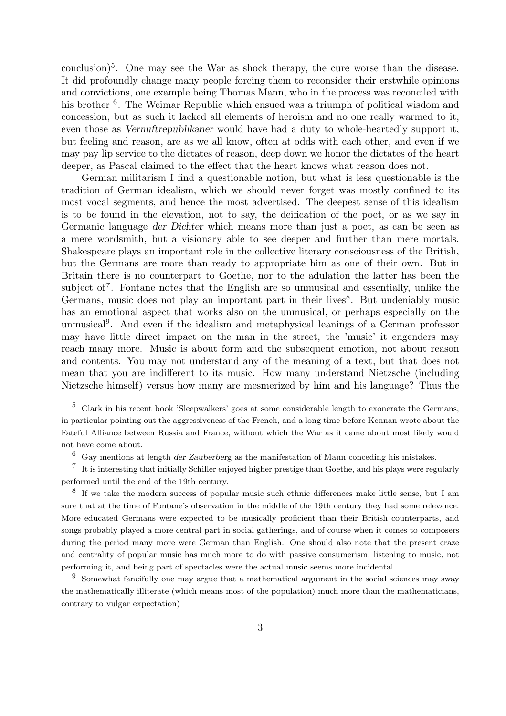conclusion)<sup>5</sup>. One may see the War as shock therapy, the cure worse than the disease. It did profoundly change many people forcing them to reconsider their erstwhile opinions and convictions, one example being Thomas Mann, who in the process was reconciled with his brother <sup>6</sup>. The Weimar Republic which ensued was a triumph of political wisdom and concession, but as such it lacked all elements of heroism and no one really warmed to it, even those as Vernuftrepublikaner would have had a duty to whole-heartedly support it, but feeling and reason, are as we all know, often at odds with each other, and even if we may pay lip service to the dictates of reason, deep down we honor the dictates of the heart deeper, as Pascal claimed to the effect that the heart knows what reason does not.

German militarism I find a questionable notion, but what is less questionable is the tradition of German idealism, which we should never forget was mostly confined to its most vocal segments, and hence the most advertised. The deepest sense of this idealism is to be found in the elevation, not to say, the deification of the poet, or as we say in Germanic language der Dichter which means more than just a poet, as can be seen as a mere wordsmith, but a visionary able to see deeper and further than mere mortals. Shakespeare plays an important role in the collective literary consciousness of the British, but the Germans are more than ready to appropriate him as one of their own. But in Britain there is no counterpart to Goethe, nor to the adulation the latter has been the subject of<sup>7</sup>. Fontane notes that the English are so unmusical and essentially, unlike the Germans, music does not play an important part in their lives<sup>8</sup>. But undeniably music has an emotional aspect that works also on the unmusical, or perhaps especially on the unmusical<sup>9</sup>. And even if the idealism and metaphysical leanings of a German professor may have little direct impact on the man in the street, the 'music' it engenders may reach many more. Music is about form and the subsequent emotion, not about reason and contents. You may not understand any of the meaning of a text, but that does not mean that you are indifferent to its music. How many understand Nietzsche (including Nietzsche himself) versus how many are mesmerized by him and his language? Thus the

<sup>5</sup> Clark in his recent book 'Sleepwalkers' goes at some considerable length to exonerate the Germans, in particular pointing out the aggressiveness of the French, and a long time before Kennan wrote about the Fateful Alliance between Russia and France, without which the War as it came about most likely would not have come about.

 $6\,$  Gay mentions at length der Zauberberg as the manifestation of Mann conceding his mistakes.

<sup>7</sup> It is interesting that initially Schiller enjoyed higher prestige than Goethe, and his plays were regularly performed until the end of the 19th century.

<sup>&</sup>lt;sup>8</sup> If we take the modern success of popular music such ethnic differences make little sense, but I am sure that at the time of Fontane's observation in the middle of the 19th century they had some relevance. More educated Germans were expected to be musically proficient than their British counterparts, and songs probably played a more central part in social gatherings, and of course when it comes to composers during the period many more were German than English. One should also note that the present craze and centrality of popular music has much more to do with passive consumerism, listening to music, not performing it, and being part of spectacles were the actual music seems more incidental.

<sup>&</sup>lt;sup>9</sup> Somewhat fancifully one may argue that a mathematical argument in the social sciences may sway the mathematically illiterate (which means most of the population) much more than the mathematicians, contrary to vulgar expectation)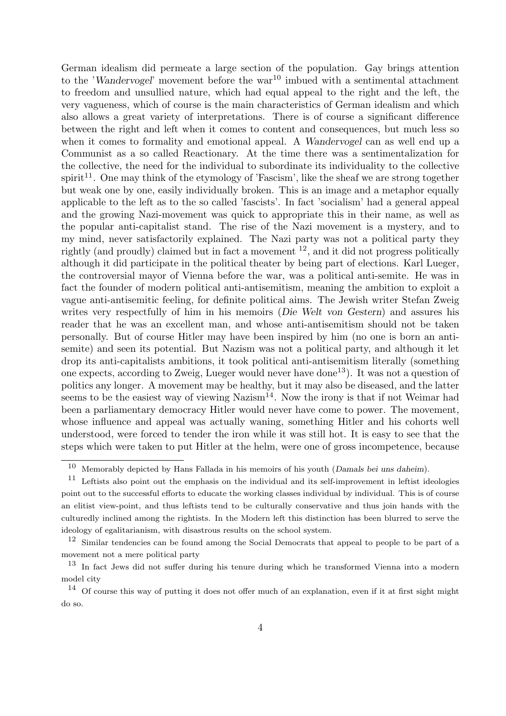German idealism did permeate a large section of the population. Gay brings attention to the 'Wandervogel' movement before the war<sup>10</sup> imbued with a sentimental attachment to freedom and unsullied nature, which had equal appeal to the right and the left, the very vagueness, which of course is the main characteristics of German idealism and which also allows a great variety of interpretations. There is of course a significant difference between the right and left when it comes to content and consequences, but much less so when it comes to formality and emotional appeal. A Wandervogel can as well end up a Communist as a so called Reactionary. At the time there was a sentimentalization for the collective, the need for the individual to subordinate its individuality to the collective spirit<sup>11</sup>. One may think of the etymology of 'Fascism', like the sheaf we are strong together but weak one by one, easily individually broken. This is an image and a metaphor equally applicable to the left as to the so called 'fascists'. In fact 'socialism' had a general appeal and the growing Nazi-movement was quick to appropriate this in their name, as well as the popular anti-capitalist stand. The rise of the Nazi movement is a mystery, and to my mind, never satisfactorily explained. The Nazi party was not a political party they rightly (and proudly) claimed but in fact a movement  $^{12}$ , and it did not progress politically although it did participate in the political theater by being part of elections. Karl Lueger, the controversial mayor of Vienna before the war, was a political anti-semite. He was in fact the founder of modern political anti-antisemitism, meaning the ambition to exploit a vague anti-antisemitic feeling, for definite political aims. The Jewish writer Stefan Zweig writes very respectfully of him in his memoirs (Die Welt von Gestern) and assures his reader that he was an excellent man, and whose anti-antisemitism should not be taken personally. But of course Hitler may have been inspired by him (no one is born an antisemite) and seen its potential. But Nazism was not a political party, and although it let drop its anti-capitalists ambitions, it took political anti-antisemitism literally (something one expects, according to Zweig, Lueger would never have done <sup>13</sup>). It was not a question of politics any longer. A movement may be healthy, but it may also be diseased, and the latter seems to be the easiest way of viewing  $Nazism<sup>14</sup>$ . Now the irony is that if not Weimar had been a parliamentary democracy Hitler would never have come to power. The movement, whose influence and appeal was actually waning, something Hitler and his cohorts well understood, were forced to tender the iron while it was still hot. It is easy to see that the steps which were taken to put Hitler at the helm, were one of gross incompetence, because

<sup>&</sup>lt;sup>10</sup> Memorably depicted by Hans Fallada in his memoirs of his youth (*Damals bei uns daheim*).

<sup>&</sup>lt;sup>11</sup> Leftists also point out the emphasis on the individual and its self-improvement in leftist ideologies point out to the successful efforts to educate the working classes individual by individual. This is of course an elitist view-point, and thus leftists tend to be culturally conservative and thus join hands with the culturedly inclined among the rightists. In the Modern left this distinction has been blurred to serve the ideology of egalitarianism, with disastrous results on the school system.

<sup>&</sup>lt;sup>12</sup> Similar tendencies can be found among the Social Democrats that appeal to people to be part of a movement not a mere political party

<sup>13</sup> In fact Jews did not suffer during his tenure during which he transformed Vienna into a modern model city

<sup>&</sup>lt;sup>14</sup> Of course this way of putting it does not offer much of an explanation, even if it at first sight might do so.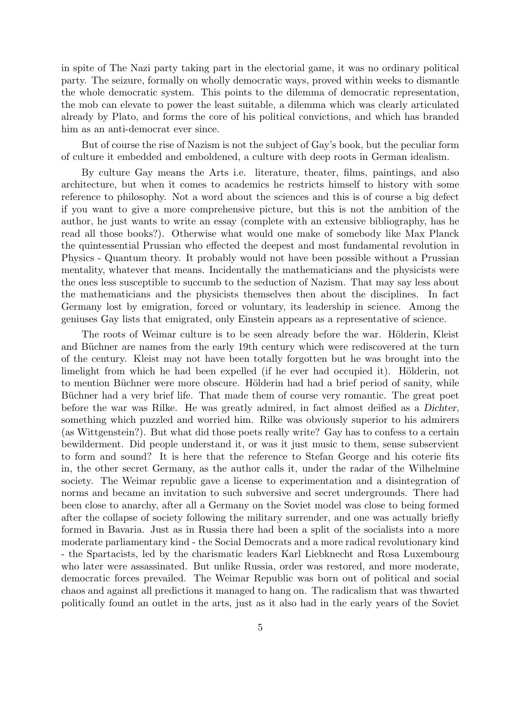in spite of The Nazi party taking part in the electorial game, it was no ordinary political party. The seizure, formally on wholly democratic ways, proved within weeks to dismantle the whole democratic system. This points to the dilemma of democratic representation, the mob can elevate to power the least suitable, a dilemma which was clearly articulated already by Plato, and forms the core of his political convictions, and which has branded him as an anti-democrat ever since.

But of course the rise of Nazism is not the subject of Gay's book, but the peculiar form of culture it embedded and emboldened, a culture with deep roots in German idealism.

By culture Gay means the Arts i.e. literature, theater, films, paintings, and also architecture, but when it comes to academics he restricts himself to history with some reference to philosophy. Not a word about the sciences and this is of course a big defect if you want to give a more comprehensive picture, but this is not the ambition of the author, he just wants to write an essay (complete with an extensive bibliography, has he read all those books?). Otherwise what would one make of somebody like Max Planck the quintessential Prussian who effected the deepest and most fundamental revolution in Physics - Quantum theory. It probably would not have been possible without a Prussian mentality, whatever that means. Incidentally the mathematicians and the physicists were the ones less susceptible to succumb to the seduction of Nazism. That may say less about the mathematicians and the physicists themselves then about the disciplines. In fact Germany lost by emigration, forced or voluntary, its leadership in science. Among the geniuses Gay lists that emigrated, only Einstein appears as a representative of science.

The roots of Weimar culture is to be seen already before the war. Hölderin, Kleist and Büchner are names from the early 19th century which were rediscovered at the turn of the century. Kleist may not have been totally forgotten but he was brought into the limelight from which he had been expelled (if he ever had occupied it). Hölderin, not to mention Büchner were more obscure. Hölderin had had a brief period of sanity, while Büchner had a very brief life. That made them of course very romantic. The great poet before the war was Rilke. He was greatly admired, in fact almost deified as a Dichter, something which puzzled and worried him. Rilke was obviously superior to his admirers (as Wittgenstein?). But what did those poets really write? Gay has to confess to a certain bewilderment. Did people understand it, or was it just music to them, sense subservient to form and sound? It is here that the reference to Stefan George and his coterie fits in, the other secret Germany, as the author calls it, under the radar of the Wilhelmine society. The Weimar republic gave a license to experimentation and a disintegration of norms and became an invitation to such subversive and secret undergrounds. There had been close to anarchy, after all a Germany on the Soviet model was close to being formed after the collapse of society following the military surrender, and one was actually briefly formed in Bavaria. Just as in Russia there had been a split of the socialists into a more moderate parliamentary kind - the Social Democrats and a more radical revolutionary kind - the Spartacists, led by the charismatic leaders Karl Liebknecht and Rosa Luxembourg who later were assassinated. But unlike Russia, order was restored, and more moderate, democratic forces prevailed. The Weimar Republic was born out of political and social chaos and against all predictions it managed to hang on. The radicalism that was thwarted politically found an outlet in the arts, just as it also had in the early years of the Soviet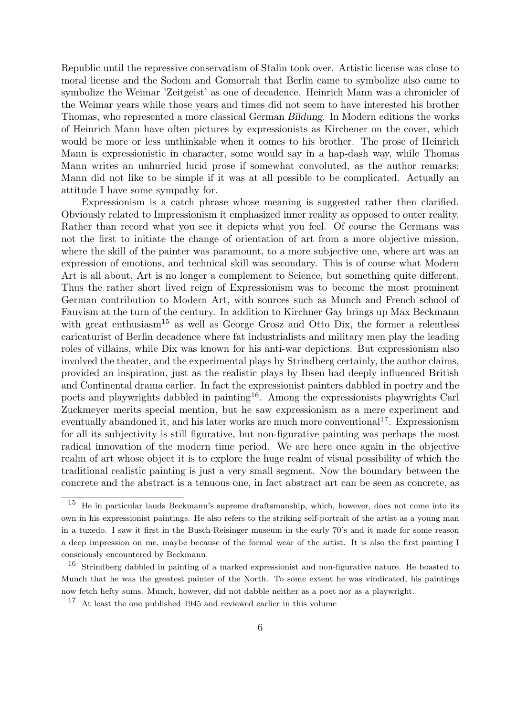Republic until the repressive conservatism of Stalin took over. Artistic license was close to moral license and the Sodom and Gomorrah that Berlin came to symbolize also came to symbolize the Weimar 'Zeitgeist' as one of decadence. Heinrich Mann was a chronicler of the Weimar years while those years and times did not seem to have interested his brother Thomas, who represented a more classical German Bildung. In Modern editions the works of Heinrich Mann have often pictures by expressionists as Kirchener on the cover, which would be more or less unthinkable when it comes to his brother. The prose of Heinrich Mann is expressionistic in character, some would say in a hap-dash way, while Thomas Mann writes an unhurried lucid prose if somewhat convoluted, as the author remarks: Mann did not like to be simple if it was at all possible to be complicated. Actually an attitude I have some sympathy for.

Expressionism is a catch phrase whose meaning is suggested rather then clarified. Obviously related to Impressionism it emphasized inner reality as opposed to outer reality. Rather than record what you see it depicts what you feel. Of course the Germans was not the first to initiate the change of orientation of art from a more objective mission, where the skill of the painter was paramount, to a more subjective one, where art was an expression of emotions, and technical skill was secondary. This is of course what Modern Art is all about, Art is no longer a complement to Science, but something quite different. Thus the rather short lived reign of Expressionism was to become the most prominent German contribution to Modern Art, with sources such as Munch and French school of Fauvism at the turn of the century. In addition to Kirchner Gay brings up Max Beckmann with great enthusiasm<sup>15</sup> as well as George Grosz and Otto Dix, the former a relentless caricaturist of Berlin decadence where fat industrialists and military men play the leading roles of villains, while Dix was known for his anti-war depictions. But expressionism also involved the theater, and the experimental plays by Strindberg certainly, the author claims, provided an inspiration, just as the realistic plays by Ibsen had deeply influenced British and Continental drama earlier. In fact the expressionist painters dabbled in poetry and the poets and playwrights dabbled in painting16. Among the expressionists playwrights Carl Zuckmeyer merits special mention, but he saw expressionism as a mere experiment and eventually abandoned it, and his later works are much more conventional<sup>17</sup>. Expressionism for all its subjectivity is still figurative, but non-figurative painting was perhaps the most radical innovation of the modern time period. We are here once again in the objective realm of art whose object it is to explore the huge realm of visual possibility of which the traditional realistic painting is just a very small segment. Now the boundary between the concrete and the abstract is a tenuous one, in fact abstract art can be seen as concrete, as

<sup>&</sup>lt;sup>15</sup> He in particular lauds Beckmann's supreme draftsmanship, which, however, does not come into its own in his expressionist paintings. He also refers to the striking self-portrait of the artist as a young man in a tuxedo. I saw it first in the Busch-Reisinger museum in the early 70's and it made for some reason a deep impression on me, maybe because of the formal wear of the artist. It is also the first painting I consciously encountered by Beckmann.

<sup>&</sup>lt;sup>16</sup> Strindberg dabbled in painting of a marked expressionist and non-figurative nature. He boasted to Munch that he was the greatest painter of the North. To some extent he was vindicated, his paintings now fetch hefty sums. Munch, however, did not dabble neither as a poet nor as a playwright.

<sup>17</sup> At least the one published 1945 and reviewed earlier in this volume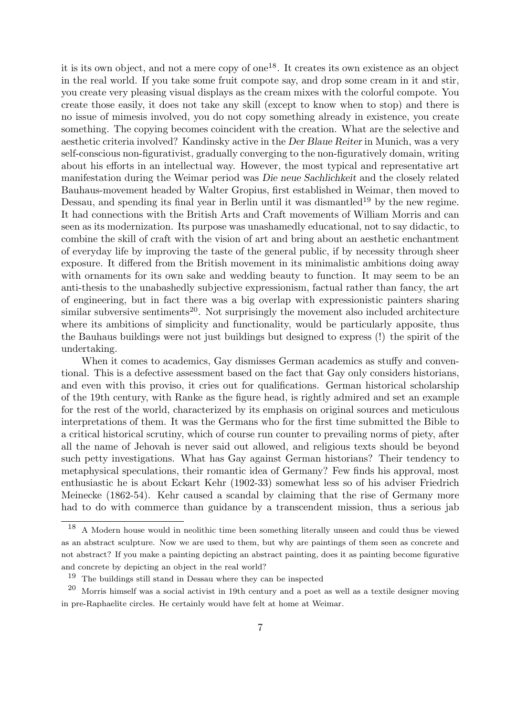it is its own object, and not a mere copy of one<sup>18</sup>. It creates its own existence as an object in the real world. If you take some fruit compote say, and drop some cream in it and stir, you create very pleasing visual displays as the cream mixes with the colorful compote. You create those easily, it does not take any skill (except to know when to stop) and there is no issue of mimesis involved, you do not copy something already in existence, you create something. The copying becomes coincident with the creation. What are the selective and aesthetic criteria involved? Kandinsky active in the Der Blaue Reiter in Munich, was a very self-conscious non-figurativist, gradually converging to the non-figuratively domain, writing about his efforts in an intellectual way. However, the most typical and representative art manifestation during the Weimar period was Die neue Sachlichkeit and the closely related Bauhaus-movement headed by Walter Gropius, first established in Weimar, then moved to Dessau, and spending its final year in Berlin until it was dismantled<sup>19</sup> by the new regime. It had connections with the British Arts and Craft movements of William Morris and can seen as its modernization. Its purpose was unashamedly educational, not to say didactic, to combine the skill of craft with the vision of art and bring about an aesthetic enchantment of everyday life by improving the taste of the general public, if by necessity through sheer exposure. It differed from the British movement in its minimalistic ambitions doing away with ornaments for its own sake and wedding beauty to function. It may seem to be an anti-thesis to the unabashedly subjective expressionism, factual rather than fancy, the art of engineering, but in fact there was a big overlap with expressionistic painters sharing similar subversive sentiments<sup>20</sup>. Not surprisingly the movement also included architecture where its ambitions of simplicity and functionality, would be particularly apposite, thus the Bauhaus buildings were not just buildings but designed to express (!) the spirit of the undertaking.

When it comes to academics, Gay dismisses German academics as stuffy and conventional. This is a defective assessment based on the fact that Gay only considers historians, and even with this proviso, it cries out for qualifications. German historical scholarship of the 19th century, with Ranke as the figure head, is rightly admired and set an example for the rest of the world, characterized by its emphasis on original sources and meticulous interpretations of them. It was the Germans who for the first time submitted the Bible to a critical historical scrutiny, which of course run counter to prevailing norms of piety, after all the name of Jehovah is never said out allowed, and religious texts should be beyond such petty investigations. What has Gay against German historians? Their tendency to metaphysical speculations, their romantic idea of Germany? Few finds his approval, most enthusiastic he is about Eckart Kehr (1902-33) somewhat less so of his adviser Friedrich Meinecke (1862-54). Kehr caused a scandal by claiming that the rise of Germany more had to do with commerce than guidance by a transcendent mission, thus a serious jab

<sup>18</sup> A Modern house would in neolithic time been something literally unseen and could thus be viewed as an abstract sculpture. Now we are used to them, but why are paintings of them seen as concrete and not abstract? If you make a painting depicting an abstract painting, does it as painting become figurative and concrete by depicting an object in the real world?

<sup>19</sup> The buildings still stand in Dessau where they can be inspected

 $20$  Morris himself was a social activist in 19th century and a poet as well as a textile designer moving in pre-Raphaelite circles. He certainly would have felt at home at Weimar.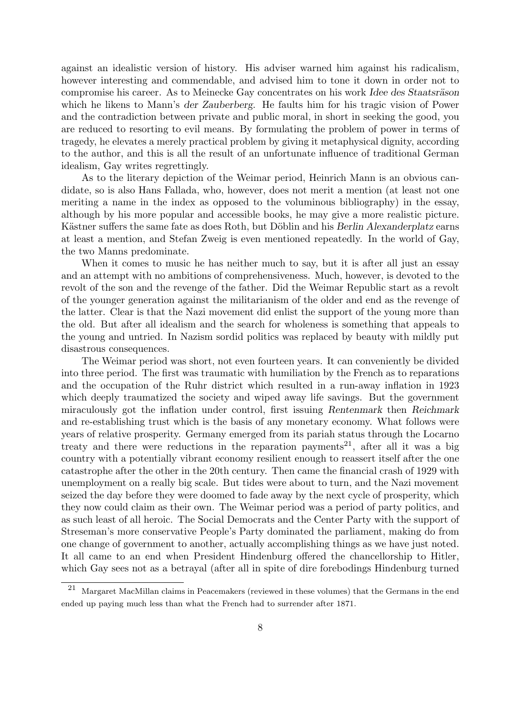against an idealistic version of history. His adviser warned him against his radicalism, however interesting and commendable, and advised him to tone it down in order not to compromise his career. As to Meinecke Gay concentrates on his work Idee des Staatsräson which he likens to Mann's der Zauberberg. He faults him for his tragic vision of Power and the contradiction between private and public moral, in short in seeking the good, you are reduced to resorting to evil means. By formulating the problem of power in terms of tragedy, he elevates a merely practical problem by giving it metaphysical dignity, according to the author, and this is all the result of an unfortunate influence of traditional German idealism, Gay writes regrettingly.

As to the literary depiction of the Weimar period, Heinrich Mann is an obvious candidate, so is also Hans Fallada, who, however, does not merit a mention (at least not one meriting a name in the index as opposed to the voluminous bibliography) in the essay, although by his more popular and accessible books, he may give a more realistic picture. Kästner suffers the same fate as does Roth, but Döblin and his Berlin Alexanderplatz earns at least a mention, and Stefan Zweig is even mentioned repeatedly. In the world of Gay, the two Manns predominate.

When it comes to music he has neither much to say, but it is after all just an essay and an attempt with no ambitions of comprehensiveness. Much, however, is devoted to the revolt of the son and the revenge of the father. Did the Weimar Republic start as a revolt of the younger generation against the militarianism of the older and end as the revenge of the latter. Clear is that the Nazi movement did enlist the support of the young more than the old. But after all idealism and the search for wholeness is something that appeals to the young and untried. In Nazism sordid politics was replaced by beauty with mildly put disastrous consequences.

The Weimar period was short, not even fourteen years. It can conveniently be divided into three period. The first was traumatic with humiliation by the French as to reparations and the occupation of the Ruhr district which resulted in a run-away inflation in 1923 which deeply traumatized the society and wiped away life savings. But the government miraculously got the inflation under control, first issuing Rentenmark then Reichmark and re-establishing trust which is the basis of any monetary economy. What follows were years of relative prosperity. Germany emerged from its pariah status through the Locarno treaty and there were reductions in the reparation payments<sup>21</sup>, after all it was a big country with a potentially vibrant economy resilient enough to reassert itself after the one catastrophe after the other in the 20th century. Then came the financial crash of 1929 with unemployment on a really big scale. But tides were about to turn, and the Nazi movement seized the day before they were doomed to fade away by the next cycle of prosperity, which they now could claim as their own. The Weimar period was a period of party politics, and as such least of all heroic. The Social Democrats and the Center Party with the support of Streseman's more conservative People's Party dominated the parliament, making do from one change of government to another, actually accomplishing things as we have just noted. It all came to an end when President Hindenburg offered the chancellorship to Hitler, which Gay sees not as a betrayal (after all in spite of dire forebodings Hindenburg turned

<sup>21</sup> Margaret MacMillan claims in Peacemakers (reviewed in these volumes) that the Germans in the end ended up paying much less than what the French had to surrender after 1871.